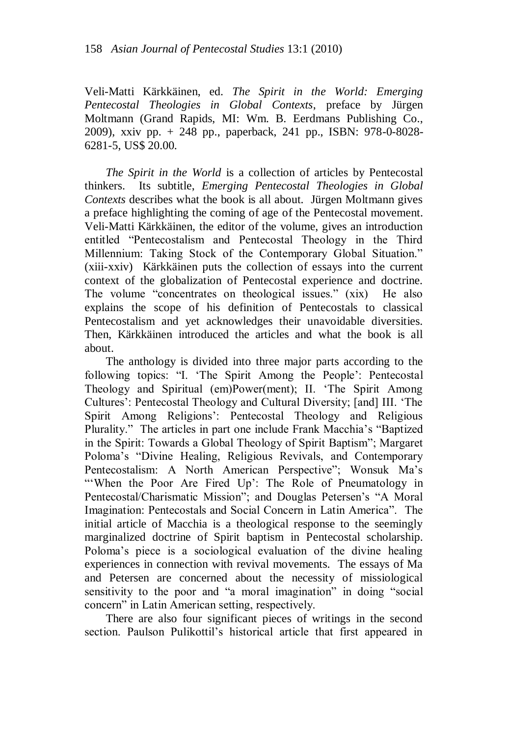Veli-Matti Kärkkäinen, ed. *The Spirit in the World: Emerging Pentecostal Theologies in Global Contexts*, preface by Jürgen Moltmann (Grand Rapids, MI: Wm. B. Eerdmans Publishing Co., 2009), xxiv pp. + 248 pp., paperback, 241 pp., ISBN: 978-0-8028- 6281-5, US\$ 20.00.

*The Spirit in the World* is a collection of articles by Pentecostal thinkers. Its subtitle, *Emerging Pentecostal Theologies in Global Contexts* describes what the book is all about. Jürgen Moltmann gives a preface highlighting the coming of age of the Pentecostal movement. Veli-Matti Kärkkäinen, the editor of the volume, gives an introduction entitled "Pentecostalism and Pentecostal Theology in the Third Millennium: Taking Stock of the Contemporary Global Situation." (xiii-xxiv) Kärkkäinen puts the collection of essays into the current context of the globalization of Pentecostal experience and doctrine. The volume "concentrates on theological issues." (xix) He also explains the scope of his definition of Pentecostals to classical Pentecostalism and yet acknowledges their unavoidable diversities. Then, Kärkkäinen introduced the articles and what the book is all about.

The anthology is divided into three major parts according to the following topics: "I. 'The Spirit Among the People': Pentecostal Theology and Spiritual (em)Power(ment); II. "The Spirit Among Cultures": Pentecostal Theology and Cultural Diversity; [and] III. "The Spirit Among Religions": Pentecostal Theology and Religious Plurality." The articles in part one include Frank Macchia"s "Baptized in the Spirit: Towards a Global Theology of Spirit Baptism"; Margaret Poloma"s "Divine Healing, Religious Revivals, and Contemporary Pentecostalism: A North American Perspective"; Wonsuk Ma"s "When the Poor Are Fired Up': The Role of Pneumatology in Pentecostal/Charismatic Mission"; and Douglas Petersen's "A Moral Imagination: Pentecostals and Social Concern in Latin America". The initial article of Macchia is a theological response to the seemingly marginalized doctrine of Spirit baptism in Pentecostal scholarship. Poloma"s piece is a sociological evaluation of the divine healing experiences in connection with revival movements. The essays of Ma and Petersen are concerned about the necessity of missiological sensitivity to the poor and "a moral imagination" in doing "social concern" in Latin American setting, respectively.

There are also four significant pieces of writings in the second section. Paulson Pulikottil"s historical article that first appeared in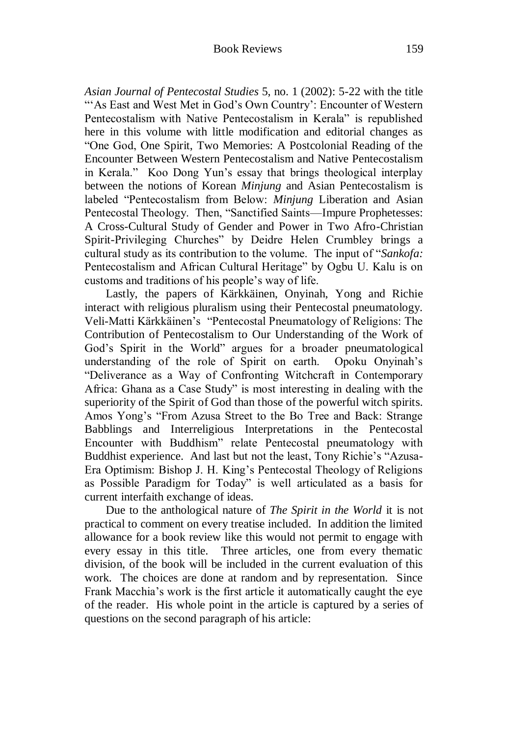*Asian Journal of Pentecostal Studies* 5, no. 1 (2002): 5-22 with the title ""As East and West Met in God's Own Country': Encounter of Western Pentecostalism with Native Pentecostalism in Kerala" is republished here in this volume with little modification and editorial changes as "One God, One Spirit, Two Memories: A Postcolonial Reading of the Encounter Between Western Pentecostalism and Native Pentecostalism in Kerala." Koo Dong Yun"s essay that brings theological interplay between the notions of Korean *Minjung* and Asian Pentecostalism is labeled "Pentecostalism from Below: *Minjung* Liberation and Asian Pentecostal Theology. Then, "Sanctified Saints—Impure Prophetesses: A Cross-Cultural Study of Gender and Power in Two Afro-Christian Spirit-Privileging Churches" by Deidre Helen Crumbley brings a cultural study as its contribution to the volume. The input of "*Sankofa:* Pentecostalism and African Cultural Heritage" by Ogbu U. Kalu is on customs and traditions of his people"s way of life.

Lastly, the papers of Kärkkäinen, Onyinah, Yong and Richie interact with religious pluralism using their Pentecostal pneumatology. Veli-Matti Kärkkäinen"s "Pentecostal Pneumatology of Religions: The Contribution of Pentecostalism to Our Understanding of the Work of God"s Spirit in the World" argues for a broader pneumatological understanding of the role of Spirit on earth. Opoku Onyinah"s "Deliverance as a Way of Confronting Witchcraft in Contemporary Africa: Ghana as a Case Study" is most interesting in dealing with the superiority of the Spirit of God than those of the powerful witch spirits. Amos Yong"s "From Azusa Street to the Bo Tree and Back: Strange Babblings and Interreligious Interpretations in the Pentecostal Encounter with Buddhism" relate Pentecostal pneumatology with Buddhist experience. And last but not the least, Tony Richie"s "Azusa-Era Optimism: Bishop J. H. King"s Pentecostal Theology of Religions as Possible Paradigm for Today" is well articulated as a basis for current interfaith exchange of ideas.

Due to the anthological nature of *The Spirit in the World* it is not practical to comment on every treatise included. In addition the limited allowance for a book review like this would not permit to engage with every essay in this title. Three articles, one from every thematic division, of the book will be included in the current evaluation of this work. The choices are done at random and by representation. Since Frank Macchia"s work is the first article it automatically caught the eye of the reader. His whole point in the article is captured by a series of questions on the second paragraph of his article: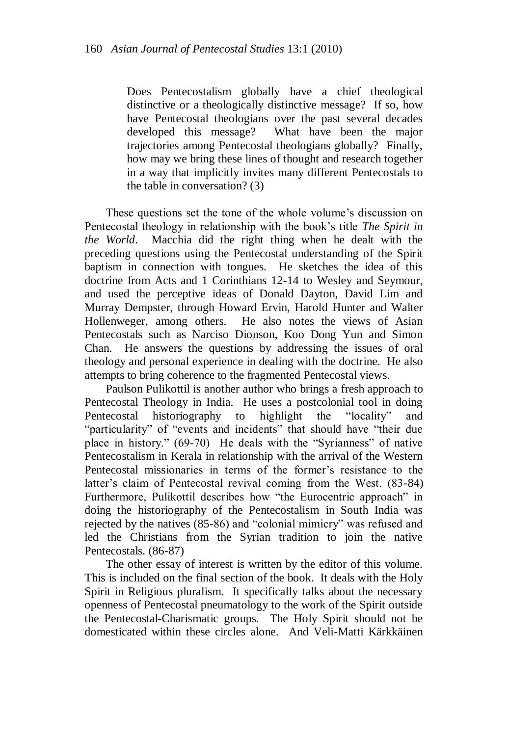Does Pentecostalism globally have a chief theological distinctive or a theologically distinctive message? If so, how have Pentecostal theologians over the past several decades developed this message? What have been the major trajectories among Pentecostal theologians globally? Finally, how may we bring these lines of thought and research together in a way that implicitly invites many different Pentecostals to the table in conversation? (3)

These questions set the tone of the whole volume's discussion on Pentecostal theology in relationship with the book"s title *The Spirit in the World*. Macchia did the right thing when he dealt with the preceding questions using the Pentecostal understanding of the Spirit baptism in connection with tongues. He sketches the idea of this doctrine from Acts and 1 Corinthians 12-14 to Wesley and Seymour, and used the perceptive ideas of Donald Dayton, David Lim and Murray Dempster, through Howard Ervin, Harold Hunter and Walter Hollenweger, among others. He also notes the views of Asian Pentecostals such as Narciso Dionson, Koo Dong Yun and Simon Chan. He answers the questions by addressing the issues of oral theology and personal experience in dealing with the doctrine. He also attempts to bring coherence to the fragmented Pentecostal views.

Paulson Pulikottil is another author who brings a fresh approach to Pentecostal Theology in India. He uses a postcolonial tool in doing Pentecostal historiography to highlight the "locality" and "particularity" of "events and incidents" that should have "their due place in history." (69-70) He deals with the "Syrianness" of native Pentecostalism in Kerala in relationship with the arrival of the Western Pentecostal missionaries in terms of the former"s resistance to the latter's claim of Pentecostal revival coming from the West. (83-84) Furthermore, Pulikottil describes how "the Eurocentric approach" in doing the historiography of the Pentecostalism in South India was rejected by the natives (85-86) and "colonial mimicry" was refused and led the Christians from the Syrian tradition to join the native Pentecostals. (86-87)

The other essay of interest is written by the editor of this volume. This is included on the final section of the book. It deals with the Holy Spirit in Religious pluralism. It specifically talks about the necessary openness of Pentecostal pneumatology to the work of the Spirit outside the Pentecostal-Charismatic groups. The Holy Spirit should not be domesticated within these circles alone. And Veli-Matti Kärkkäinen